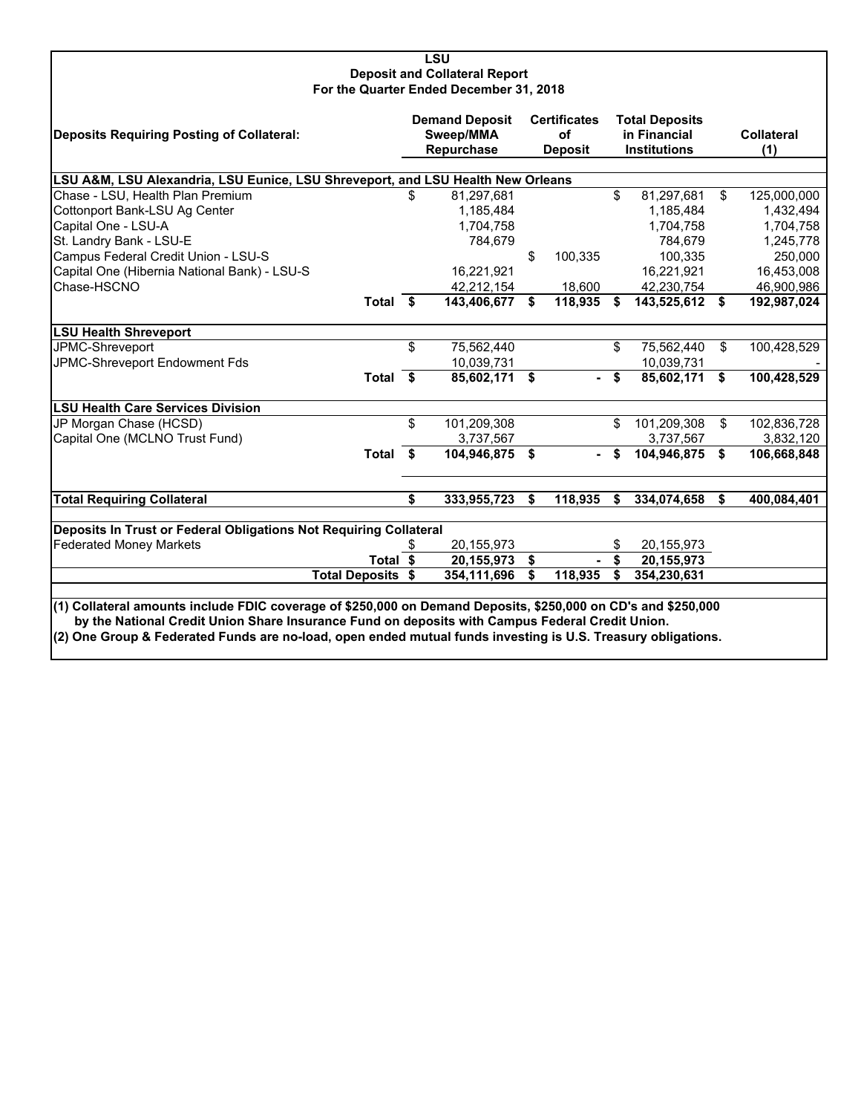#### **LSU Deposit and Collateral Report For the Quarter Ended December 31, 2018**

| Deposits Requiring Posting of Collateral:                                                                                                                                                                                                                                                                                        | <b>Demand Deposit</b><br>Sweep/MMA<br>Repurchase |               | <b>Certificates</b><br><b>of</b><br><b>Deposit</b> |         | <b>Total Deposits</b><br>in Financial<br><b>Institutions</b> |                |      | <b>Collateral</b><br>(1) |
|----------------------------------------------------------------------------------------------------------------------------------------------------------------------------------------------------------------------------------------------------------------------------------------------------------------------------------|--------------------------------------------------|---------------|----------------------------------------------------|---------|--------------------------------------------------------------|----------------|------|--------------------------|
| LSU A&M, LSU Alexandria, LSU Eunice, LSU Shreveport, and LSU Health New Orleans                                                                                                                                                                                                                                                  |                                                  |               |                                                    |         |                                                              |                |      |                          |
| Chase - LSU, Health Plan Premium                                                                                                                                                                                                                                                                                                 | \$                                               | 81,297,681    |                                                    |         | \$                                                           | 81,297,681     | \$   | 125,000,000              |
| Cottonport Bank-LSU Ag Center                                                                                                                                                                                                                                                                                                    |                                                  | 1,185,484     |                                                    |         |                                                              | 1,185,484      |      | 1,432,494                |
| Capital One - LSU-A                                                                                                                                                                                                                                                                                                              |                                                  | 1,704,758     |                                                    |         |                                                              | 1,704,758      |      | 1,704,758                |
| St. Landry Bank - LSU-E                                                                                                                                                                                                                                                                                                          |                                                  | 784,679       |                                                    |         |                                                              | 784.679        |      | 1,245,778                |
| Campus Federal Credit Union - LSU-S                                                                                                                                                                                                                                                                                              |                                                  |               | \$                                                 | 100,335 |                                                              | 100,335        |      | 250,000                  |
| Capital One (Hibernia National Bank) - LSU-S                                                                                                                                                                                                                                                                                     |                                                  | 16,221,921    |                                                    |         |                                                              | 16,221,921     |      | 16,453,008               |
| Chase-HSCNO                                                                                                                                                                                                                                                                                                                      |                                                  | 42,212,154    |                                                    | 18,600  |                                                              | 42,230,754     |      | 46,900,986               |
| Total \$                                                                                                                                                                                                                                                                                                                         |                                                  | 143,406,677   | S.                                                 | 118,935 | -S                                                           | 143,525,612 \$ |      | 192,987,024              |
| <b>LSU Health Shreveport</b>                                                                                                                                                                                                                                                                                                     |                                                  |               |                                                    |         |                                                              |                |      |                          |
| JPMC-Shreveport                                                                                                                                                                                                                                                                                                                  | \$                                               | 75,562,440    |                                                    |         | \$                                                           | 75,562,440     | \$   | 100,428,529              |
| JPMC-Shreveport Endowment Fds                                                                                                                                                                                                                                                                                                    |                                                  | 10,039,731    |                                                    |         |                                                              | 10,039,731     |      |                          |
| Total \$                                                                                                                                                                                                                                                                                                                         |                                                  | 85,602,171 \$ |                                                    | $\sim$  | \$                                                           | 85,602,171     | \$   | 100,428,529              |
| <b>LSU Health Care Services Division</b>                                                                                                                                                                                                                                                                                         |                                                  |               |                                                    |         |                                                              |                |      |                          |
| JP Morgan Chase (HCSD)                                                                                                                                                                                                                                                                                                           | \$                                               | 101,209,308   |                                                    |         | \$                                                           | 101,209,308    | \$   | 102,836,728              |
| Capital One (MCLNO Trust Fund)                                                                                                                                                                                                                                                                                                   |                                                  | 3,737,567     |                                                    |         |                                                              | 3,737,567      |      | 3,832,120                |
| Total \$                                                                                                                                                                                                                                                                                                                         |                                                  | 104,946,875   | \$                                                 |         | \$                                                           | 104,946,875    | - \$ | 106,668,848              |
| <b>Total Requiring Collateral</b>                                                                                                                                                                                                                                                                                                | \$                                               | 333,955,723   | \$                                                 | 118,935 | \$                                                           | 334,074,658    | Ŝ.   | 400,084,401              |
|                                                                                                                                                                                                                                                                                                                                  |                                                  |               |                                                    |         |                                                              |                |      |                          |
| Deposits In Trust or Federal Obligations Not Requiring Collateral                                                                                                                                                                                                                                                                |                                                  |               |                                                    |         |                                                              |                |      |                          |
| <b>Federated Money Markets</b>                                                                                                                                                                                                                                                                                                   |                                                  | 20,155,973    |                                                    |         | \$                                                           | 20,155,973     |      |                          |
| Total $\overline{\$}$                                                                                                                                                                                                                                                                                                            |                                                  | 20,155,973    | \$                                                 |         | \$                                                           | 20, 155, 973   |      |                          |
| <b>Total Deposits \$</b>                                                                                                                                                                                                                                                                                                         |                                                  | 354,111,696   | \$                                                 | 118,935 | \$                                                           | 354,230,631    |      |                          |
| (1) Collateral amounts include FDIC coverage of \$250,000 on Demand Deposits, \$250,000 on CD's and \$250,000<br>by the National Credit Union Share Insurance Fund on deposits with Campus Federal Credit Union.<br>(2) One Group & Federated Funds are no-load, open ended mutual funds investing is U.S. Treasury obligations. |                                                  |               |                                                    |         |                                                              |                |      |                          |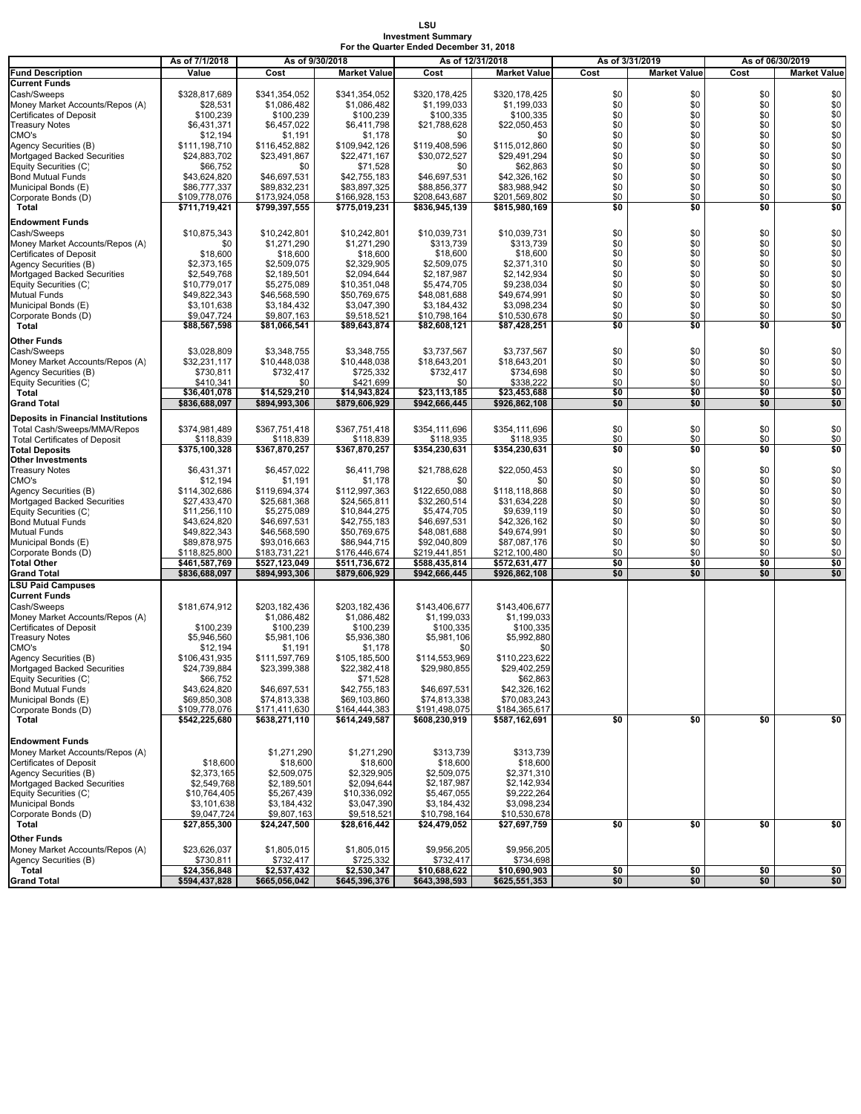#### **LSU Investment Summary For the Quarter Ended December 31, 2018**

|                                           | As of 7/1/2018 | As of 9/30/2018 |                     | As of 12/31/2018 |                     | As of 3/31/2019 |                     |      | As of 06/30/2019    |
|-------------------------------------------|----------------|-----------------|---------------------|------------------|---------------------|-----------------|---------------------|------|---------------------|
| <b>Fund Description</b>                   | Value          | Cost            | <b>Market Value</b> | Cost             | <b>Market Value</b> | Cost            | <b>Market Value</b> | Cost | <b>Market Value</b> |
| <b>Current Funds</b>                      |                |                 |                     |                  |                     |                 |                     |      |                     |
| Cash/Sweeps                               | \$328,817,689  | \$341,354,052   | \$341,354,052       | \$320,178,425    | \$320.178.425       | \$0             | \$0                 | \$0  | \$0                 |
| Money Market Accounts/Repos (A)           | \$28,531       | \$1,086,482     | \$1,086,482         | \$1,199,033      | \$1,199,033         | \$0             | \$0                 | \$0  | \$0                 |
| <b>Certificates of Deposit</b>            | \$100,239      | \$100,239       | \$100,239           | \$100,335        | \$100,335           | \$0             | \$0                 | \$0  | \$0                 |
| <b>Treasury Notes</b>                     | \$6,431,371    | \$6,457,022     | \$6,411,798         | \$21,788,628     | \$22,050,453        | \$0             | \$0                 | \$0  | $\$0$               |
| CMO's                                     | \$12,194       | \$1,191         | \$1,178             | \$0              | \$0                 | \$0             | \$0                 | \$0  | \$0\$               |
| Agency Securities (B)                     | \$111,198,710  | \$116,452,882   | \$109,942,126       | \$119,408,596    | \$115,012,860       | \$0             | \$0                 | \$0  |                     |
| Mortgaged Backed Securities               | \$24,883,702   | \$23,491,867    | \$22,471,167        | \$30,072,527     | \$29,491,294        | \$0             | \$0                 | \$0  | $$0$<br>$$0$        |
| Equity Securities (C)                     | \$66,752       | \$0             | \$71,528            | \$0              | \$62,863            | \$0             | \$0                 | \$0  |                     |
| <b>Bond Mutual Funds</b>                  | \$43,624,820   | \$46,697,531    | \$42,755,183        | \$46,697,531     | \$42,326,162        | \$0             | \$0                 | \$0  | \$0                 |
| Municipal Bonds (E)                       | \$86,777,337   | \$89,832,231    | \$83,897,325        | \$88,856,377     | \$83,988,942        | \$0             | \$0                 | \$0  | \$0                 |
| Corporate Bonds (D)                       | \$109,778,076  | \$173,924,058   | \$166,928,153       | \$208,643,687    | \$201,569,802       | \$0             | \$0                 | \$0  | \$0                 |
| Total                                     | \$711,719,421  | \$799,397,555   | \$775,019,231       | \$836,945,139    | \$815,980,169       | \$0             | \$0                 | \$0  | \$0                 |
| <b>Endowment Funds</b>                    |                |                 |                     |                  |                     |                 |                     |      |                     |
| Cash/Sweeps                               | \$10,875,343   | \$10,242,801    | \$10,242,801        | \$10,039,731     | \$10,039,731        | \$0             | \$0                 | \$0  | \$0                 |
| Money Market Accounts/Repos (A)           | \$0            | \$1,271,290     | \$1.271.290         | \$313.739        | \$313,739           | \$0             | \$0                 | \$0  | $\$0$               |
| <b>Certificates of Deposit</b>            | \$18,600       | \$18,600        | \$18,600            | \$18,600         | \$18,600            | \$0             | \$0                 | \$0  | \$0                 |
| Agency Securities (B)                     | \$2,373,165    | \$2,509,075     | \$2,329,905         | \$2,509,075      | \$2,371,310         | \$0             | \$0                 | \$0  | \$0\$               |
| Mortgaged Backed Securities               | \$2,549,768    | \$2,189,501     | \$2,094,644         | \$2,187,987      | \$2,142,934         | \$0             | \$0                 | \$0  |                     |
| Equity Securities (C)                     | \$10,779,017   | \$5,275,089     | \$10,351,048        | \$5,474,705      | \$9,238,034         | \$0             | \$0                 | \$0  | \$0                 |
| <b>Mutual Funds</b>                       | \$49,822,343   | \$46,568,590    | \$50,769,675        | \$48,081,688     | \$49,674,991        | \$0             | \$0                 | \$0  | \$0                 |
| Municipal Bonds (E)                       | \$3,101,638    | \$3,184,432     | \$3,047,390         | \$3,184,432      | \$3,098,234         | \$0             | \$0                 | \$0  | \$0                 |
| Corporate Bonds (D)                       | \$9,047,724    | \$9,807,163     | \$9,518,521         | \$10,798,164     | \$10,530,678        | \$0             | \$0                 | \$0  | \$0                 |
| Total                                     | \$88,567,598   | \$81,066,541    | \$89,643,874        | \$82,608,121     | \$87,428,251        | \$0             | \$0                 | \$0  | \$0                 |
| <b>Other Funds</b>                        |                |                 |                     |                  |                     |                 |                     |      |                     |
| Cash/Sweeps                               | \$3,028,809    | \$3.348.755     | \$3,348,755         | \$3,737,567      | \$3,737,567         | \$0             | \$0                 | \$0  | \$0                 |
| Money Market Accounts/Repos (A)           | \$32,231,117   | \$10,448,038    | \$10,448,038        | \$18,643,201     | \$18,643,201        | \$0             | \$0                 | \$0  | \$0                 |
| Agency Securities (B)                     | \$730,811      | \$732,417       | \$725,332           | \$732,417        | \$734,698           | \$0             | \$0                 | \$0  | \$0                 |
| Equity Securities (C)                     | \$410,341      | \$0             | \$421,699           | \$0              | \$338,222           | \$0             | \$0                 | \$0  | \$0                 |
| Total                                     | \$36,401,078   | \$14,529,210    | \$14,943,824        | \$23,113,185     | \$23,453,688        | \$0             | \$0                 | \$0  | \$0                 |
| <b>Grand Total</b>                        | \$836,688,097  | \$894,993,306   | \$879,606,929       | \$942,666,445    | \$926,862,108       | \$0             | \$0                 | \$0  | \$0                 |
| <b>Deposits in Financial Institutions</b> |                |                 |                     |                  |                     |                 |                     |      |                     |
| Total Cash/Sweeps/MMA/Repos               | \$374,981,489  | \$367,751,418   | \$367,751,418       | \$354,111,696    | \$354,111,696       | \$0             | \$0                 | \$0  | \$0                 |
| <b>Total Certificates of Deposit</b>      | \$118,839      | \$118,839       | \$118,839           | \$118,935        | \$118,935           | \$0             | \$0                 | \$0  | \$0                 |
| <b>Total Deposits</b>                     | \$375,100,328  | \$367,870,257   | \$367,870,257       | \$354,230,631    | \$354,230,631       | \$0             | \$0                 | \$0  | \$0                 |
| <b>Other Investments</b>                  |                |                 |                     |                  |                     |                 |                     |      |                     |
| <b>Treasury Notes</b>                     | \$6,431,371    | \$6,457,022     | \$6,411,798         | \$21,788,628     | \$22,050,453        | \$0             | \$0                 | \$0  | \$0                 |
| CMO's                                     | \$12,194       | \$1,191         | \$1,178             | \$0              | \$0                 | \$0             | \$0                 | \$0  | \$0                 |
| Agency Securities (B)                     | \$114,302,686  | \$119,694,374   | \$112,997,363       | \$122,650,088    | \$118,118,868       | \$0             | \$0                 | \$0  | $\$0$               |
| Mortgaged Backed Securities               | \$27,433,470   | \$25,681,368    | \$24,565,811        | \$32,260,514     | \$31,634,228        | \$0             | \$0                 | \$0  | $\$0$               |
| Equity Securities (C)                     | \$11,256,110   | \$5,275,089     | \$10,844,275        | \$5,474,705      | \$9,639,119         | \$0             | \$0                 | \$0  | $\$0$               |
| <b>Bond Mutual Funds</b>                  | \$43,624,820   | \$46,697,531    | \$42,755,183        | \$46,697,531     | \$42,326,162        | \$0             | \$0                 | \$0  | $\$0$               |
| <b>Mutual Funds</b>                       | \$49,822,343   | \$46,568,590    | \$50,769,675        | \$48,081,688     | \$49,674,991        | \$0             | \$0                 | \$0  |                     |
| Municipal Bonds (E)                       | \$89,878,975   | \$93,016,663    | \$86,944,715        | \$92,040,809     | \$87,087,176        | \$0             | \$0                 | \$0  | $$0$<br>$$0$        |
| Corporate Bonds (D)                       | \$118,825,800  | \$183,731,221   | \$176,446,674       | \$219,441,851    | \$212,100,480       | \$0             | \$0                 | \$0  | \$0                 |
| <b>Total Other</b>                        | \$461,587,769  | \$527,123,049   | \$511,736,672       | \$588,435,814    | \$572,631,477       | \$0             | \$0                 | \$0  | \$0                 |
| <b>Grand Total</b>                        | \$836,688,097  | \$894,993,306   | \$879,606,929       | \$942,666,445    | \$926,862,108       | \$0             | \$0                 | \$0  | \$0                 |
| <b>LSU Paid Campuses</b>                  |                |                 |                     |                  |                     |                 |                     |      |                     |
| <b>Current Funds</b>                      |                |                 |                     |                  |                     |                 |                     |      |                     |
| Cash/Sweeps                               | \$181,674,912  | \$203,182,436   | \$203,182,436       | \$143,406,677    | \$143,406,677       |                 |                     |      |                     |
| Money Market Accounts/Repos (A)           |                | \$1,086,482     | \$1,086,482         | \$1,199,033      | \$1,199,033         |                 |                     |      |                     |
| Certificates of Deposit                   | \$100,239      | \$100,239       | \$100,239           | \$100,335        | \$100,335           |                 |                     |      |                     |
| <b>Treasury Notes</b>                     | \$5,946,560    | \$5,981,106     | \$5,936,380         | \$5,981,106      | \$5,992,880         |                 |                     |      |                     |
| CMO's                                     | \$12,194       | \$1,191         | \$1,178             | \$0              | \$0                 |                 |                     |      |                     |
| Agency Securities (B)                     | \$106,431,935  | \$111,597,769   | \$105,185,500       | \$114,553,969    | \$110,223,622       |                 |                     |      |                     |
| Mortgaged Backed Securities               | \$24,739,884   | \$23,399,388    | \$22,382,418        | \$29,980,855     | \$29,402,259        |                 |                     |      |                     |
| Equity Securities (C)                     | \$66,752       |                 | \$71,528            |                  | \$62,863            |                 |                     |      |                     |
| <b>Bond Mutual Funds</b>                  | \$43,624,820   | \$46,697,531    | \$42,755,183        | \$46,697,531     | \$42,326,162        |                 |                     |      |                     |
| Municipal Bonds (E)                       | \$69,850,308   | \$74,813,338    | \$69,103,860        | \$74,813,338     | \$70,083,243        |                 |                     |      |                     |
| Corporate Bonds (D)                       | \$109,778,076  | \$171,411,630   | \$164,444,383       | \$191,498,075    | \$184,365,617       |                 |                     |      |                     |
| Total                                     | \$542,225,680  | \$638,271,110   | \$614,249,587       | \$608,230,919    | \$587,162,691       | \$0             | \$0                 | \$0  | \$0                 |
|                                           |                |                 |                     |                  |                     |                 |                     |      |                     |
| <b>Endowment Funds</b>                    |                |                 |                     |                  |                     |                 |                     |      |                     |
| Money Market Accounts/Repos (A)           |                | \$1,271,290     | \$1,271,290         | \$313,739        | \$313,739           |                 |                     |      |                     |
| <b>Certificates of Deposit</b>            | \$18,600       | \$18,600        | \$18,600            | \$18,600         | \$18,600            |                 |                     |      |                     |
| Agency Securities (B)                     | \$2,373,165    | \$2,509,075     | \$2,329,905         | \$2,509,075      | \$2,371,310         |                 |                     |      |                     |
| Mortgaged Backed Securities               | \$2,549,768    | \$2,189,501     | \$2,094,644         | \$2,187,987      | \$2,142,934         |                 |                     |      |                     |
| Equity Securities (C)                     | \$10,764,405   | \$5,267,439     | \$10,336,092        | \$5,467,055      | \$9,222,264         |                 |                     |      |                     |
| <b>Municipal Bonds</b>                    | \$3,101,638    | \$3,184,432     | \$3,047,390         | \$3,184,432      | \$3,098,234         |                 |                     |      |                     |
| Corporate Bonds (D)                       | \$9,047,724    | \$9,807,163     | \$9,518,521         | \$10,798,164     | \$10,530,678        |                 |                     |      |                     |
| Total                                     | \$27,855,300   | \$24,247,500    | \$28,616,442        | \$24,479,052     | \$27,697,759        | \$0             | \$0                 | \$0  | \$0                 |
| <b>Other Funds</b>                        |                |                 |                     |                  |                     |                 |                     |      |                     |
| Money Market Accounts/Repos (A)           | \$23,626,037   | \$1,805,015     | \$1,805,015         | \$9,956,205      | \$9,956,205         |                 |                     |      |                     |
| Agency Securities (B)                     | \$730,811      | \$732,417       | \$725,332           | \$732,417        | \$734,698           |                 |                     |      |                     |
| Total                                     | \$24,356,848   | \$2,537,432     | \$2,530,347         | \$10,688,622     | \$10,690,903        | \$0             | \$0                 | \$0  | \$0                 |
| <b>Grand Total</b>                        | \$594,437,828  | \$665,056,042   | \$645,396,376       | \$643,398,593    | \$625,551,353       | \$0             | \$0                 | \$0  | \$0                 |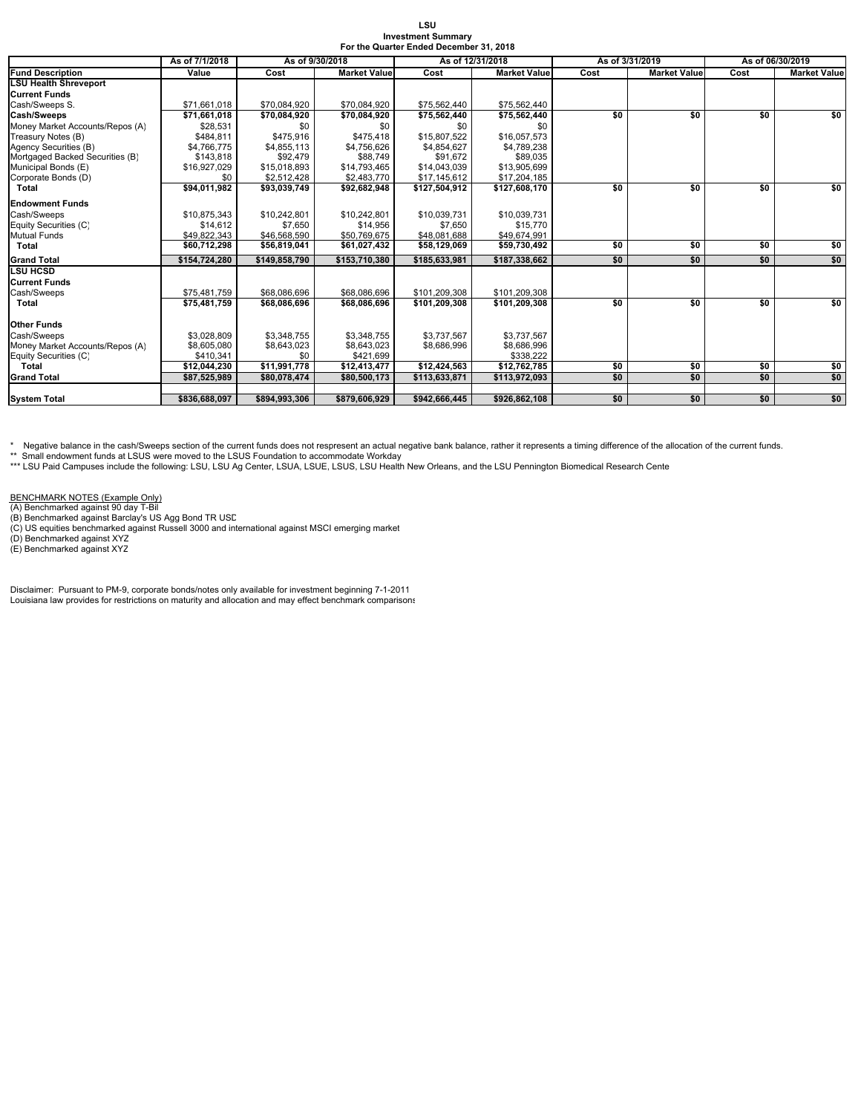| LSU                                     |  |
|-----------------------------------------|--|
| <b>Investment Summary</b>               |  |
| For the Quarter Ended December 31, 2018 |  |

|                                                | As of 7/1/2018 | As of 9/30/2018 | As of 12/31/2018    |               |                     | As of 3/31/2019 |                     | As of 06/30/2019 |                     |  |
|------------------------------------------------|----------------|-----------------|---------------------|---------------|---------------------|-----------------|---------------------|------------------|---------------------|--|
| <b>Fund Description</b>                        | Value          | Cost            | <b>Market Value</b> | Cost          | <b>Market Value</b> | Cost            | <b>Market Value</b> | Cost             | <b>Market Value</b> |  |
| <b>LSU Health Shreveport</b>                   |                |                 |                     |               |                     |                 |                     |                  |                     |  |
| <b>Current Funds</b>                           |                |                 |                     |               |                     |                 |                     |                  |                     |  |
| Cash/Sweeps S.                                 | \$71,661,018   | \$70,084,920    | \$70,084,920        | \$75,562,440  | \$75,562,440        |                 |                     |                  |                     |  |
| Cash/Sweeps                                    | \$71,661,018   | \$70,084,920    | \$70,084,920        | \$75,562,440  | \$75,562,440        | \$0             | \$0                 | \$0              | \$0                 |  |
| Money Market Accounts/Repos (A)                | \$28,531       | \$0             | \$0                 | \$0           | \$0                 |                 |                     |                  |                     |  |
| Treasury Notes (B)                             | \$484.811      | \$475.916       | \$475.418           | \$15,807,522  | \$16,057,573        |                 |                     |                  |                     |  |
| Agency Securities (B)                          | \$4,766,775    | \$4,855,113     | \$4,756,626         | \$4.854.627   | \$4,789,238         |                 |                     |                  |                     |  |
| Mortgaged Backed Securities (B)                | \$143,818      | \$92,479        | \$88,749            | \$91.672      | \$89,035            |                 |                     |                  |                     |  |
| Municipal Bonds (E)                            | \$16,927,029   | \$15,018,893    | \$14,793,465        | \$14,043,039  | \$13,905,699        |                 |                     |                  |                     |  |
| Corporate Bonds (D)                            | \$0            | \$2,512,428     | \$2,483,770         | \$17,145,612  | \$17,204,185        |                 |                     |                  |                     |  |
| Total                                          | \$94,011,982   | \$93,039,749    | \$92,682,948        | \$127,504,912 | \$127,608,170       | \$0             | \$0                 | \$0              | \$0                 |  |
| <b>Endowment Funds</b>                         |                |                 |                     |               |                     |                 |                     |                  |                     |  |
| Cash/Sweeps                                    | \$10,875,343   | \$10,242,801    | \$10,242,801        | \$10,039,731  | \$10,039,731        |                 |                     |                  |                     |  |
| Equity Securities (C)                          | \$14,612       | \$7,650         | \$14,956            | \$7,650       | \$15,770            |                 |                     |                  |                     |  |
| <b>Mutual Funds</b>                            | \$49.822.343   | \$46,568,590    | \$50,769,675        | \$48,081,688  | \$49,674,991        |                 |                     |                  |                     |  |
| Total                                          | \$60,712,298   | \$56,819,041    | \$61,027,432        | \$58,129,069  | \$59,730,492        | \$0             | \$0                 | \$0              | \$0                 |  |
| <b>Grand Total</b>                             | \$154,724,280  | \$149,858,790   | \$153,710,380       | \$185,633,981 | \$187,338,662       | \$0             | \$0                 | \$0              | \$0                 |  |
| <b>LSU HCSD</b>                                |                |                 |                     |               |                     |                 |                     |                  |                     |  |
| <b>Current Funds</b>                           |                |                 |                     |               |                     |                 |                     |                  |                     |  |
| Cash/Sweeps                                    | \$75,481,759   | \$68,086,696    | \$68,086,696        | \$101,209,308 | \$101,209,308       |                 |                     |                  |                     |  |
| <b>Total</b>                                   | \$75,481,759   | \$68,086,696    | \$68,086,696        | \$101.209.308 | \$101,209,308       | \$0             | \$0                 | \$0              | \$0                 |  |
| <b>Other Funds</b>                             |                |                 |                     |               |                     |                 |                     |                  |                     |  |
|                                                | \$3,028,809    | \$3,348,755     | \$3,348,755         | \$3,737,567   | \$3,737,567         |                 |                     |                  |                     |  |
| Cash/Sweeps<br>Money Market Accounts/Repos (A) | \$8,605,080    | \$8,643,023     | \$8,643,023         | \$8,686,996   | \$8,686,996         |                 |                     |                  |                     |  |
| Equity Securities (C)                          | \$410,341      | \$0             | \$421,699           |               | \$338,222           |                 |                     |                  |                     |  |
| Total                                          | \$12,044,230   | \$11,991,778    | \$12,413,477        | \$12,424,563  | \$12,762,785        | \$0             | \$0                 | \$0              | \$0                 |  |
| <b>Grand Total</b>                             | \$87,525,989   | \$80,078,474    | \$80,500,173        | \$113,633,871 | \$113,972,093       | \$0             | \$0                 | \$0              | \$0                 |  |
|                                                |                |                 |                     |               |                     |                 |                     |                  |                     |  |
| <b>System Total</b>                            | \$836,688,097  | \$894,993,306   | \$879,606,929       | \$942,666,445 | \$926,862,108       | \$0             | \$0                 | \$0              | \$0                 |  |

\* Negative balance in the cash/Sweeps section of the current funds does not respresent an actual negative bank balance, rather it represents a timing difference of the allocation of the current funds.

\*\* Small endowment funds at LSUS were moved to the LSUS Foundation to accommodate Workday<br>\*\*\* LSU Paid Campuses include the following: LSU, LSU Ag Center, LSUA, LSUE, LSUS, LSU Health New Orleans, and the LSU Pennington Bi

BENCHMARK NOTES (Example Only)<br>(A) Benchmarked against 90 day T-Bil<br>(B) Benchmarked against Barclay's US Agg Bond TR USD<br>(C) US equities benchmarked against Russell 3000 and international against MSCI emerging market<br>(D) B

Disclaimer: Pursuant to PM-9, corporate bonds/notes only available for investment beginning 7-1-2011 Louisiana law provides for restrictions on maturity and allocation and may effect benchmark comparisons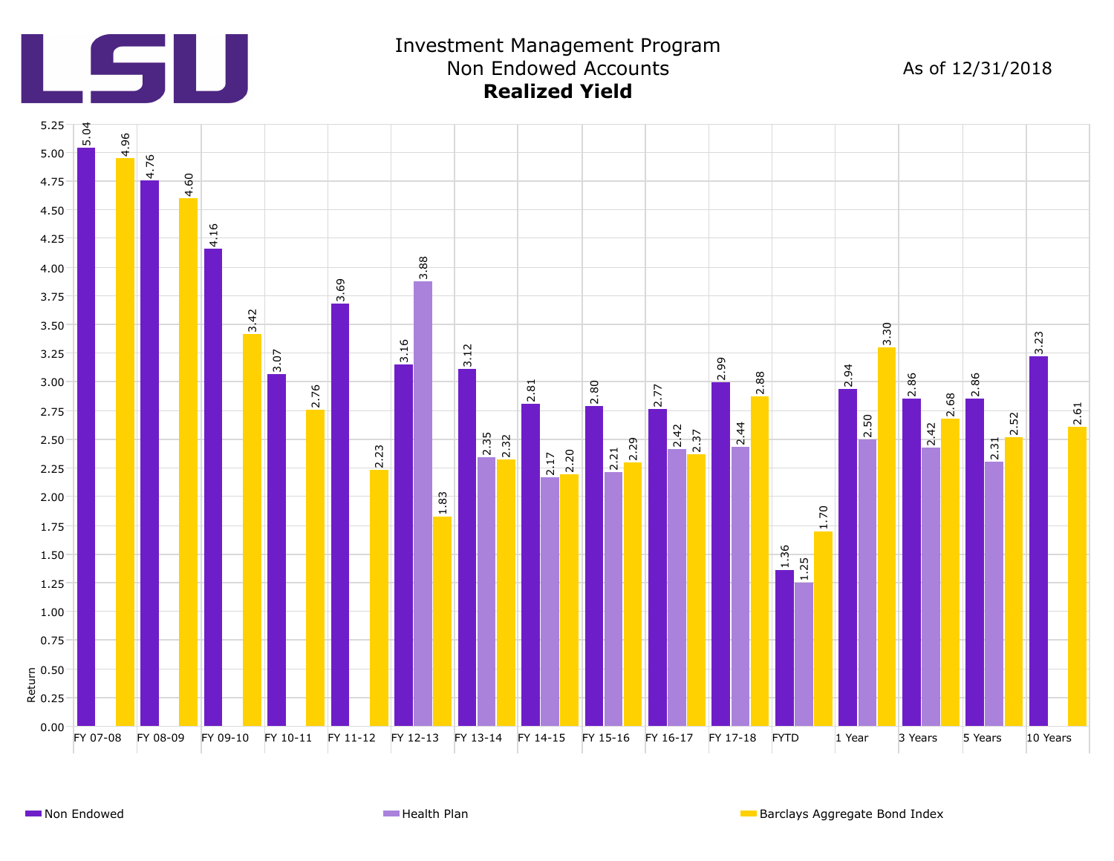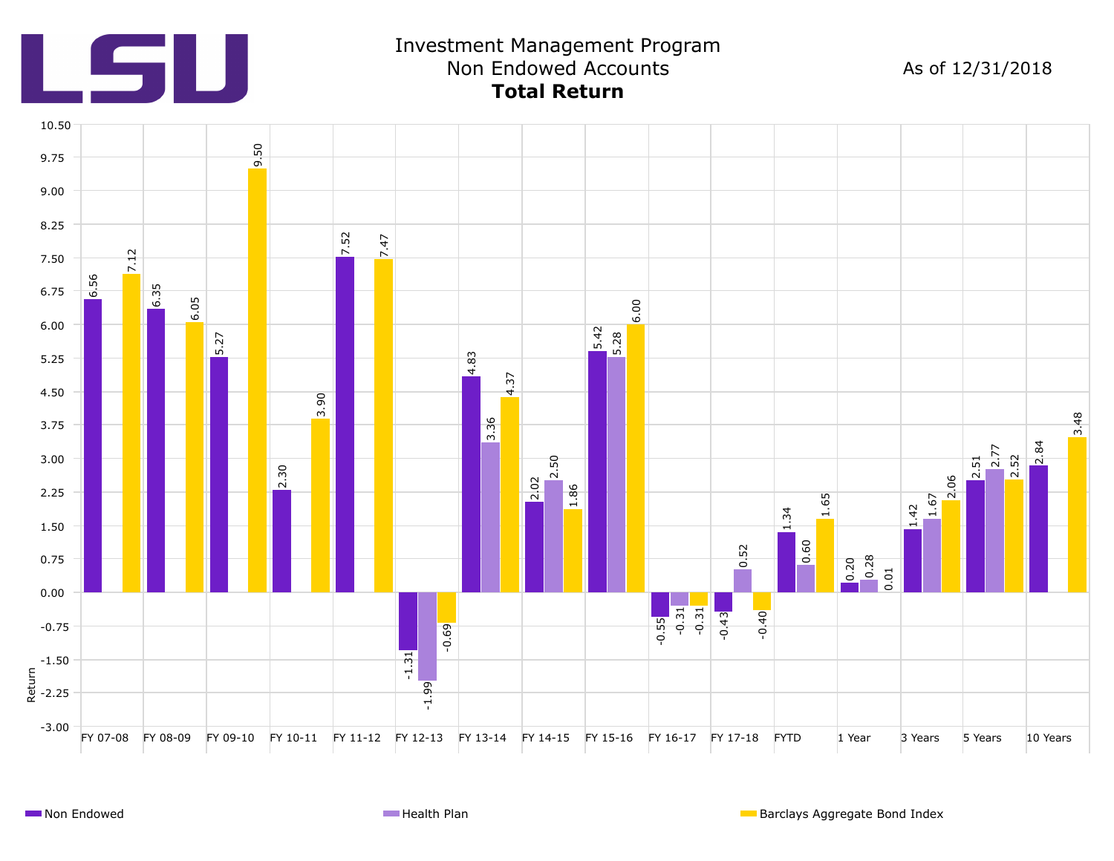

# Investment Management Program Non Endowed Accounts As of 12/31/2018 **Total Return**

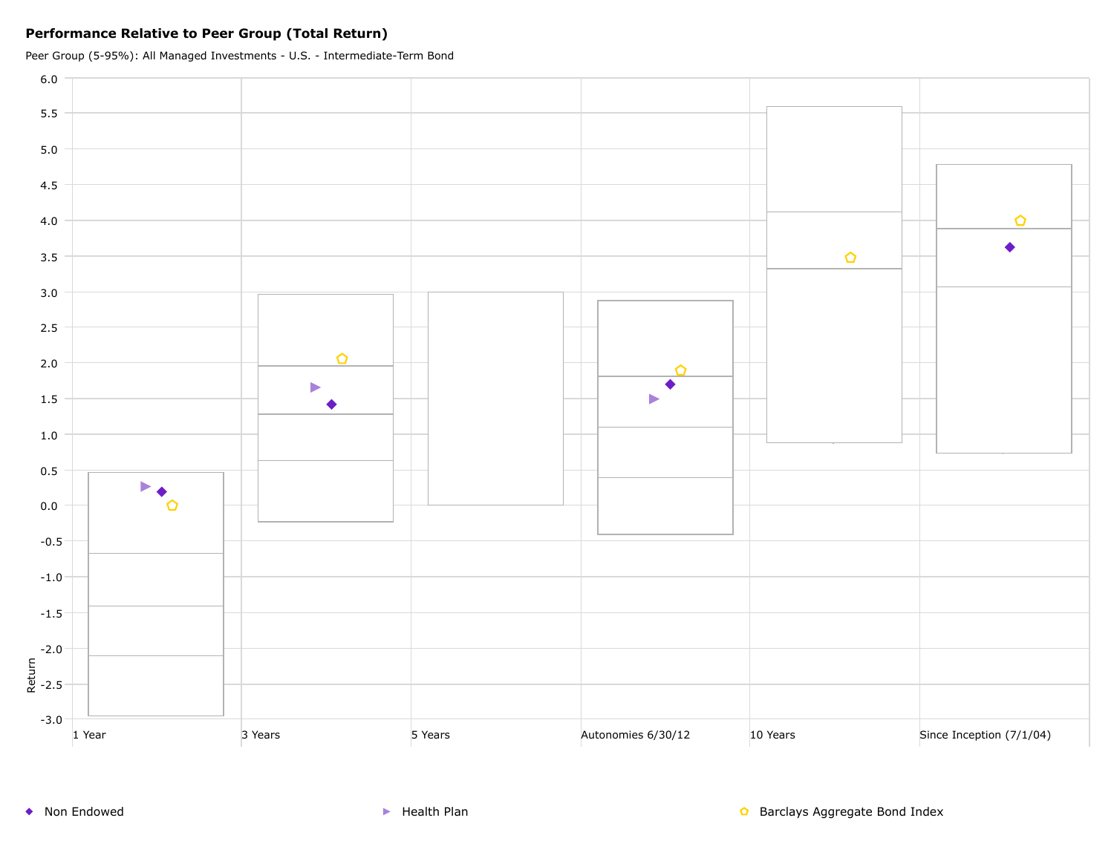### **Performance Relative to Peer Group (Total Return)**

Peer Group (5-95%): All Managed Investments - U.S. - Intermediate-Term Bond

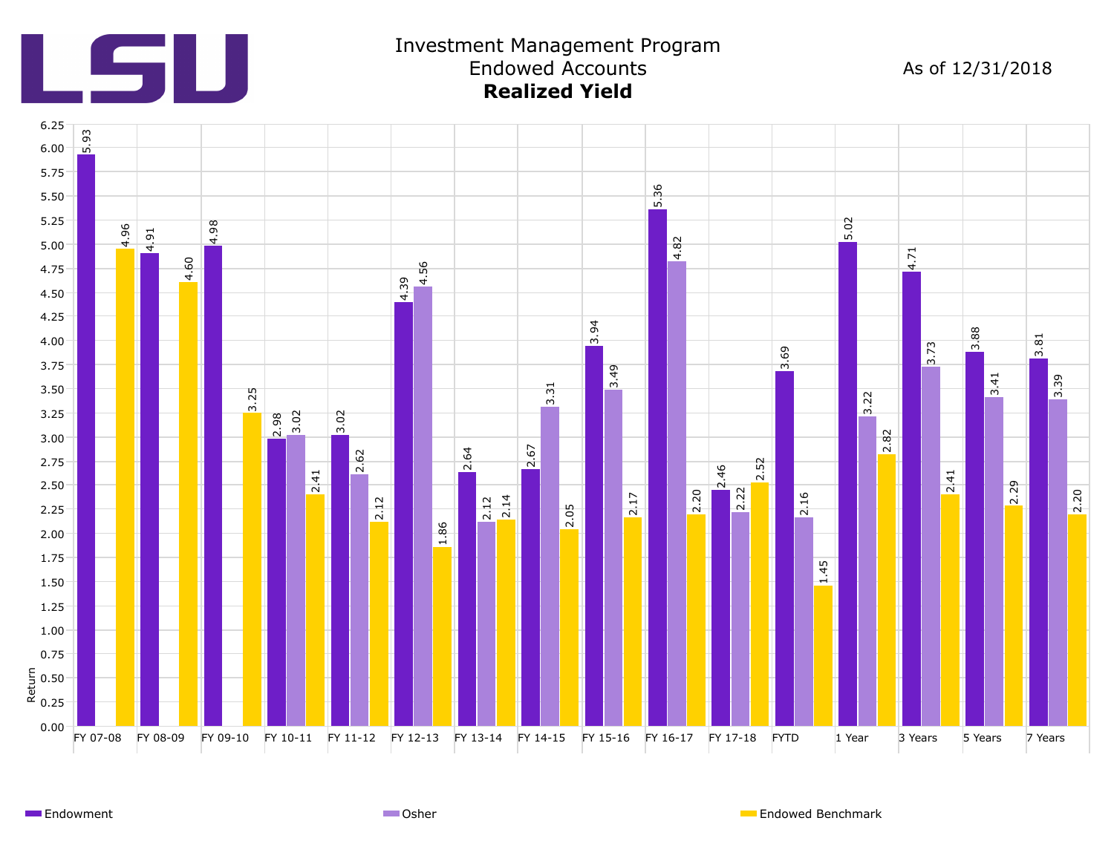

## Investment Management Program Endowed Accounts As of 12/31/2018 **Realized Yield**



Endowment **Endowed Benchmark** Communication Communication Communication Communication Communication Communication Communication Communication Communication Communication Communication Communication Communication Communicat